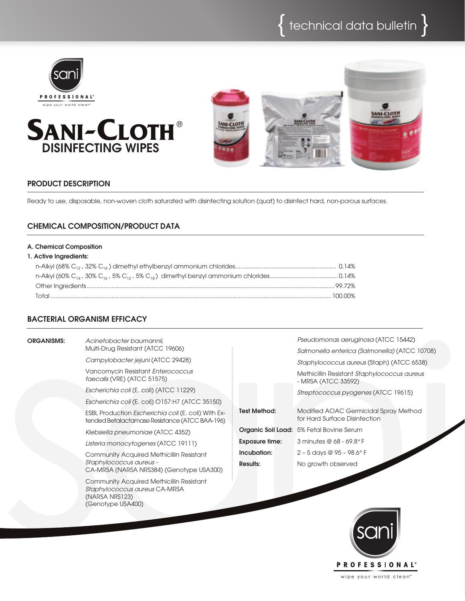





## PRODUCT DESCRIPTION

Ready to use, disposable, non-woven cloth saturated with disinfecting solution (quat) to disinfect hard, non-porous surfaces.

# Chemical Composition/PRODUCT DATA

#### A. Chemical Composition

#### 1. Active Ingredients:

## Bacterial Organism efficacy

| <b>ORGANISMS:</b> | Acinetobacter baumannii.<br>Multi-Drug Resistant (ATCC 19606)                                                           |                       | Pseudomonas aeruginosa (ATCC 15442)<br>Salmonella enterica (Salmonella) (ATCC 10708) |
|-------------------|-------------------------------------------------------------------------------------------------------------------------|-----------------------|--------------------------------------------------------------------------------------|
|                   | Campylobacter jejuni (ATCC 29428)                                                                                       |                       | Staphylococcus aureus (Staph) (ATCC 6538)                                            |
|                   | Vancomycin Resistant Enterococcus<br>faecalis (VRE) (ATCC 51575)                                                        |                       | Methicillin Resistant Staphylococcus aureus<br>- MRSA (ATCC 33592)                   |
|                   | Escherichia coli (E. coli) (ATCC 11229)                                                                                 |                       | Streptococcus pyogenes (ATCC 19615)                                                  |
|                   | Escherichia coli (E. coli) O157:H7 (ATCC 35150)                                                                         |                       |                                                                                      |
|                   | ESBL Production <i>Escherichia coli</i> (E. coli) With Ex-<br>tended Betalactamase Resistance (ATCC BAA-196)            | <b>Test Method:</b>   | Modified AOAC Germicidal Spray Method<br>for Hard Surface Disinfection               |
|                   | Klebsiella pneumoniae (ATCC 4352)                                                                                       |                       | <b>Organic Soil Load:</b> 5% Fetal Bovine Serum                                      |
|                   | Listeria monocytogenes (ATCC 19111)                                                                                     | <b>Exposure time:</b> | 3 minutes @ $68 - 69.8$ °F                                                           |
|                   | <b>Community Acquired Methicillin Resistant</b>                                                                         | Incubation:           | $2 - 5$ days @ 95 - 98.6° F                                                          |
|                   | Staphylococcus aureus -<br>CA-MRSA (NARSA NRS384) (Genotype USA300)                                                     | <b>Results:</b>       | No growth observed                                                                   |
|                   | <b>Community Acquired Methicillin Resistant</b><br>Staphylococcus aureus CA-MRSA<br>(NARSA NRS123)<br>(Genotype USA400) |                       |                                                                                      |



wipe your world clean"